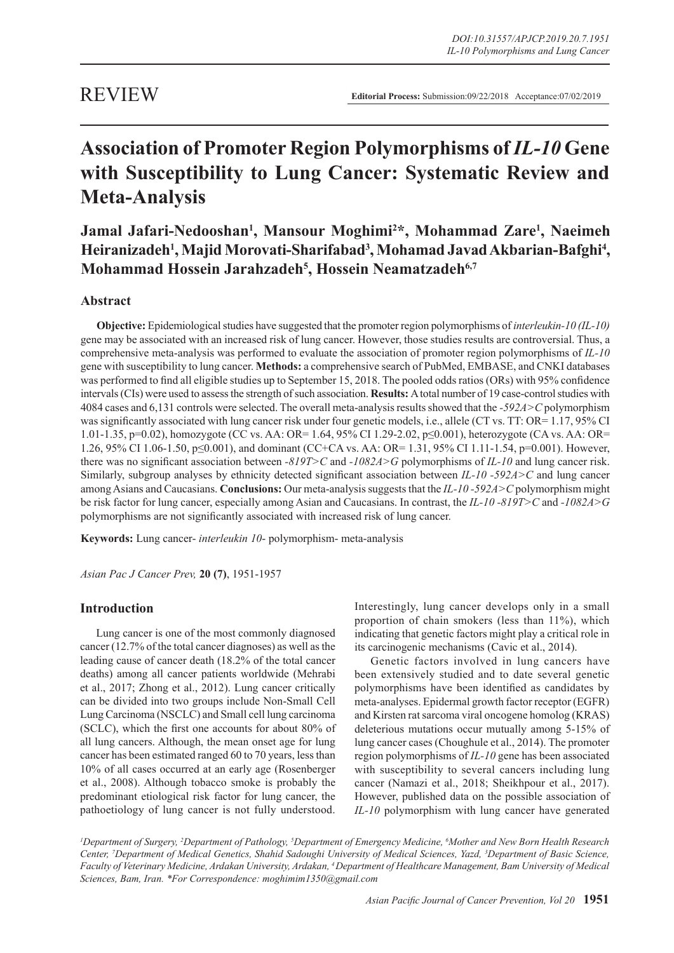# REVIEW

**Editorial Process:** Submission:09/22/2018 Acceptance:07/02/2019

# **Association of Promoter Region Polymorphisms of** *IL-10* **Gene with Susceptibility to Lung Cancer: Systematic Review and Meta-Analysis**

**Jamal Jafari-Nedooshan1 , Mansour Moghimi2 \*, Mohammad Zare1 , Naeimeh**  Heiranizadeh<sup>1</sup>, Majid Morovati-Sharifabad<sup>3</sup>, Mohamad Javad Akbarian-Bafghi<sup>4</sup>, **Mohammad Hossein Jarahzadeh5 , Hossein Neamatzadeh6,7**

# **Abstract**

**Objective:** Epidemiological studies have suggested that the promoter region polymorphisms of *interleukin-10 (IL-10)* gene may be associated with an increased risk of lung cancer. However, those studies results are controversial. Thus, a comprehensive meta-analysis was performed to evaluate the association of promoter region polymorphisms of *IL-10* gene with susceptibility to lung cancer. **Methods:** a comprehensive search of PubMed, EMBASE, and CNKI databases was performed to find all eligible studies up to September 15, 2018. The pooled odds ratios (ORs) with 95% confidence intervals (CIs) were used to assess the strength of such association. **Results:** A total number of 19 case-control studies with 4084 cases and 6,131 controls were selected. The overall meta-analysis results showed that the *-592A>C* polymorphism was significantly associated with lung cancer risk under four genetic models, i.e., allele (CT vs. TT: OR= 1.17, 95% CI 1.01-1.35, p=0.02), homozygote (CC vs. AA: OR= 1.64, 95% CI 1.29-2.02, p≤0.001), heterozygote (CA vs. AA: OR= 1.26, 95% CI 1.06-1.50, p≤0.001), and dominant (CC+CA vs. AA: OR= 1.31, 95% CI 1.11-1.54, p=0.001). However, there was no significant association between *-819T>C* and *-1082A>G* polymorphisms of *IL-10* and lung cancer risk. Similarly, subgroup analyses by ethnicity detected significant association between *IL-10 -592A>C* and lung cancer among Asians and Caucasians. **Conclusions:** Our meta-analysis suggests that the *IL-10 -592A>C* polymorphism might be risk factor for lung cancer, especially among Asian and Caucasians. In contrast, the *IL-10 -819T>C* and *-1082A>G* polymorphisms are not significantly associated with increased risk of lung cancer.

**Keywords:** Lung cancer- *interleukin 10*- polymorphism- meta-analysis

*Asian Pac J Cancer Prev,* **20 (7)**, 1951-1957

## **Introduction**

Lung cancer is one of the most commonly diagnosed cancer (12.7% of the total cancer diagnoses) as well as the leading cause of cancer death (18.2% of the total cancer deaths) among all cancer patients worldwide (Mehrabi et al., 2017; Zhong et al., 2012). Lung cancer critically can be divided into two groups include Non-Small Cell Lung Carcinoma (NSCLC) and Small cell lung carcinoma (SCLC), which the first one accounts for about 80% of all lung cancers. Although, the mean onset age for lung cancer has been estimated ranged 60 to 70 years, less than 10% of all cases occurred at an early age (Rosenberger et al., 2008). Although tobacco smoke is probably the predominant etiological risk factor for lung cancer, the pathoetiology of lung cancer is not fully understood.

Interestingly, lung cancer develops only in a small proportion of chain smokers (less than 11%), which indicating that genetic factors might play a critical role in its carcinogenic mechanisms (Cavic et al., 2014).

Genetic factors involved in lung cancers have been extensively studied and to date several genetic polymorphisms have been identified as candidates by meta-analyses. Epidermal growth factor receptor (EGFR) and Kirsten rat sarcoma viral oncogene homolog (KRAS) deleterious mutations occur mutually among 5-15% of lung cancer cases (Choughule et al., 2014). The promoter region polymorphisms of *IL-10* gene has been associated with susceptibility to several cancers including lung cancer (Namazi et al., 2018; Sheikhpour et al., 2017). However, published data on the possible association of *IL-10* polymorphism with lung cancer have generated

*1 Department of Surgery, 2 Department of Pathology, 5 Department of Emergency Medicine, 6 Mother and New Born Health Research Center, 7 Department of Medical Genetics, Shahid Sadoughi University of Medical Sciences, Yazd, 3 Department of Basic Science, Faculty of Veterinary Medicine, Ardakan University, Ardakan, 4 Department of Healthcare Management, Bam University of Medical Sciences, Bam, Iran. \*For Correspondence: moghimim1350@gmail.com*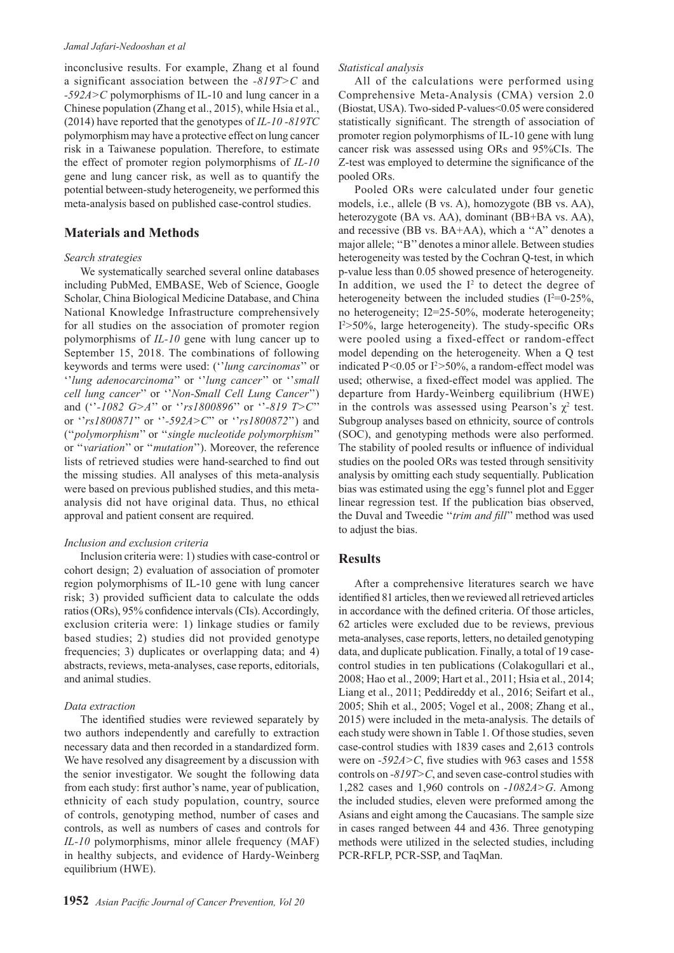#### *Jamal Jafari-Nedooshan et al*

inconclusive results. For example, Zhang et al found a significant association between the *-819T>C* and *-592A>C* polymorphisms of IL-10 and lung cancer in a Chinese population (Zhang et al., 2015), while Hsia et al., (2014) have reported that the genotypes of *IL-10 -819TC* polymorphism may have a protective effect on lung cancer risk in a Taiwanese population. Therefore, to estimate the effect of promoter region polymorphisms of *IL-10* gene and lung cancer risk, as well as to quantify the potential between-study heterogeneity, we performed this meta-analysis based on published case-control studies.

#### **Materials and Methods**

#### *Search strategies*

We systematically searched several online databases including PubMed, EMBASE, Web of Science, Google Scholar, China Biological Medicine Database, and China National Knowledge Infrastructure comprehensively for all studies on the association of promoter region polymorphisms of *IL-10* gene with lung cancer up to September 15, 2018. The combinations of following keywords and terms were used: (''*lung carcinomas*'' or ''*lung adenocarcinoma*'' or ''*lung cancer*'' or ''*small cell lung cancer*'' or ''*Non-Small Cell Lung Cancer*'') and (''*-1082 G>A*'' or ''*rs1800896*'' or ''*-819 T>C*'' or ''*rs1800871*'' or ''*-592A>C*'' or ''*rs1800872*'') and (''*polymorphism*'' or ''*single nucleotide polymorphism*'' or ''*variation*'' or ''*mutation*''). Moreover, the reference lists of retrieved studies were hand-searched to find out the missing studies. All analyses of this meta-analysis were based on previous published studies, and this metaanalysis did not have original data. Thus, no ethical approval and patient consent are required.

#### *Inclusion and exclusion criteria*

Inclusion criteria were: 1) studies with case-control or cohort design; 2) evaluation of association of promoter region polymorphisms of IL-10 gene with lung cancer risk; 3) provided sufficient data to calculate the odds ratios (ORs), 95% confidence intervals (CIs). Accordingly, exclusion criteria were: 1) linkage studies or family based studies; 2) studies did not provided genotype frequencies; 3) duplicates or overlapping data; and 4) abstracts, reviews, meta-analyses, case reports, editorials, and animal studies.

#### *Data extraction*

The identified studies were reviewed separately by two authors independently and carefully to extraction necessary data and then recorded in a standardized form. We have resolved any disagreement by a discussion with the senior investigator. We sought the following data from each study: first author's name, year of publication, ethnicity of each study population, country, source of controls, genotyping method, number of cases and controls, as well as numbers of cases and controls for *IL-10* polymorphisms, minor allele frequency (MAF) in healthy subjects, and evidence of Hardy-Weinberg equilibrium (HWE).

#### *Statistical analysis*

All of the calculations were performed using Comprehensive Meta-Analysis (CMA) version 2.0 (Biostat, USA). Two-sided P-values<0.05 were considered statistically significant. The strength of association of promoter region polymorphisms of IL-10 gene with lung cancer risk was assessed using ORs and 95%CIs. The Z-test was employed to determine the significance of the pooled ORs.

Pooled ORs were calculated under four genetic models, i.e., allele (B vs. A), homozygote (BB vs. AA), heterozygote (BA vs. AA), dominant (BB+BA vs. AA), and recessive (BB vs. BA+AA), which a ''A'' denotes a major allele; ''B'' denotes a minor allele. Between studies heterogeneity was tested by the Cochran Q-test, in which p-value less than 0.05 showed presence of heterogeneity. In addition, we used the  $I<sup>2</sup>$  to detect the degree of heterogeneity between the included studies ( $I^2=0$ -25%, no heterogeneity; I2=25-50%, moderate heterogeneity; I2 >50%, large heterogeneity). The study-specific ORs were pooled using a fixed-effect or random-effect model depending on the heterogeneity. When a Q test indicated  $P \le 0.05$  or  $I^2 > 50\%$ , a random-effect model was used; otherwise, a fixed-effect model was applied. The departure from Hardy-Weinberg equilibrium (HWE) in the controls was assessed using Pearson's  $\chi^2$  test. Subgroup analyses based on ethnicity, source of controls (SOC), and genotyping methods were also performed. The stability of pooled results or influence of individual studies on the pooled ORs was tested through sensitivity analysis by omitting each study sequentially. Publication bias was estimated using the egg's funnel plot and Egger linear regression test. If the publication bias observed, the Duval and Tweedie ''*trim and fill*'' method was used to adjust the bias.

#### **Results**

After a comprehensive literatures search we have identified 81 articles, then we reviewed all retrieved articles in accordance with the defined criteria. Of those articles, 62 articles were excluded due to be reviews, previous meta-analyses, case reports, letters, no detailed genotyping data, and duplicate publication. Finally, a total of 19 casecontrol studies in ten publications (Colakogullari et al., 2008; Hao et al., 2009; Hart et al., 2011; Hsia et al., 2014; Liang et al., 2011; Peddireddy et al., 2016; Seifart et al., 2005; Shih et al., 2005; Vogel et al., 2008; Zhang et al., 2015) were included in the meta-analysis. The details of each study were shown in Table 1. Of those studies, seven case-control studies with 1839 cases and 2,613 controls were on *-592A>C*, five studies with 963 cases and 1558 controls on *-819T>C*, and seven case-control studies with 1,282 cases and 1,960 controls on *-1082A>G*. Among the included studies, eleven were preformed among the Asians and eight among the Caucasians. The sample size in cases ranged between 44 and 436. Three genotyping methods were utilized in the selected studies, including PCR-RFLP, PCR-SSP, and TaqMan.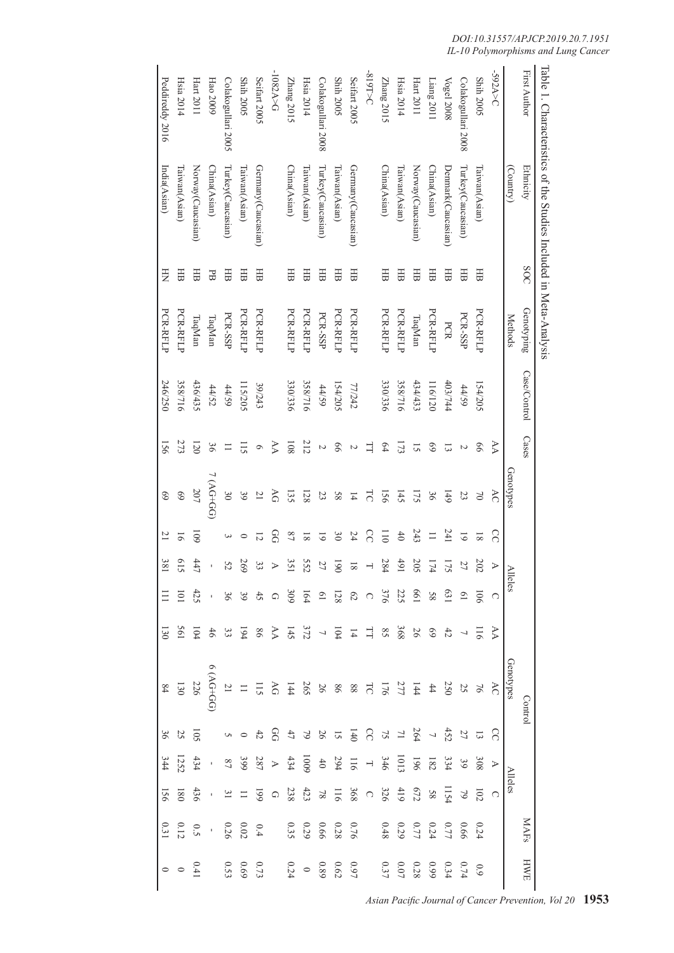|                     | Table 1. Characteristics of the Studies Included in Meta-Analysis |            |            |              |                 |                       |                |                       |                                                                                                      |                          |                                                                                                                                                                                                                                                                                                    |                                         |                                                           |                                  |                                                     |                                                                                  |
|---------------------|-------------------------------------------------------------------|------------|------------|--------------|-----------------|-----------------------|----------------|-----------------------|------------------------------------------------------------------------------------------------------|--------------------------|----------------------------------------------------------------------------------------------------------------------------------------------------------------------------------------------------------------------------------------------------------------------------------------------------|-----------------------------------------|-----------------------------------------------------------|----------------------------------|-----------------------------------------------------|----------------------------------------------------------------------------------|
| <b>First Author</b> | Ethnicity                                                         | <b>SOC</b> | Genotyping | Case/Control | Cases           |                       |                |                       |                                                                                                      |                          | Contro                                                                                                                                                                                                                                                                                             |                                         |                                                           |                                  | <b>MAFs</b>                                         | HWH                                                                              |
|                     | (Country)                                                         |            | Methods    |              |                 | Genotypes             |                | Alleles               |                                                                                                      |                          | Genotypes                                                                                                                                                                                                                                                                                          |                                         | <b>Alleles</b>                                            |                                  |                                                     |                                                                                  |
| S92A>C              |                                                                   |            |            |              | AA              | KC                    | $\Omega$       | $\triangleright$      | $\bigcirc$                                                                                           | $\triangleright$         | KC                                                                                                                                                                                                                                                                                                 | $\delta$                                | $\blacktriangleright$                                     | $\bigcirc$                       |                                                     |                                                                                  |
| <b>Shih 2005</b>    | Taiwan(Asian)                                                     | 田          | PCR-RFLP   | 154/205      | 99              | $\approx$             | $\overline{8}$ | 202                   |                                                                                                      | 911                      |                                                                                                                                                                                                                                                                                                    |                                         | $80\xi$                                                   | 102                              | 0.24                                                | 6.0                                                                              |
| Colakogullari 2008  | Turkey(Caucasian)                                                 | 田          | PCR-SSP    | 44/59        | N               | 23                    | $\overline{6}$ | 27                    | $-901$                                                                                               | $\overline{\phantom{0}}$ |                                                                                                                                                                                                                                                                                                    | $\begin{array}{c} 13 \\ 27 \end{array}$ | $6\epsilon$                                               | $\mathcal{O}$                    |                                                     |                                                                                  |
| Vogel 2008          | Denmark(Caucasian)                                                | 田          | PCR        | 403/744      | ದ               | <b>6</b> <sup>t</sup> | 241            | 175                   |                                                                                                      |                          | $16\, 23\, 24\, 4$                                                                                                                                                                                                                                                                                 |                                         | 334                                                       |                                  |                                                     |                                                                                  |
| Liang 2011          | China(Asian)                                                      | 田          | PCR-RFLP   | 116/120      | 69              | 36                    | $\equiv$       | 174                   | 63<br>58                                                                                             |                          |                                                                                                                                                                                                                                                                                                    | $452$ $-264$ $-126$                     | $182\,$                                                   | $1154$<br>$58$<br>$672$<br>$419$ | 0.66<br>0.74<br>0.29<br>0.48                        | $\begin{array}{c} 0.74 \\ 0.34 \\ 0.028 \\ 0.07 \\ 0.37 \end{array}$             |
| Hart 2011           | Norway(Caucasian)                                                 | 田          | TaqMan     | 434/433      | $\overline{5}$  | 175                   | 243            |                       |                                                                                                      |                          |                                                                                                                                                                                                                                                                                                    |                                         |                                                           |                                  |                                                     |                                                                                  |
| Hsia 2014           | Taiwan(Asian)                                                     | 田          | PCR-RFLP   | 358/716      | 173             | 145                   | $40$           | $rac{205}{491}$       |                                                                                                      |                          |                                                                                                                                                                                                                                                                                                    |                                         |                                                           |                                  |                                                     |                                                                                  |
| Zhang 2015          | China(Asian)                                                      | 田          | PCR-RFLP   | 330/336      | $\overline{54}$ | 156                   | $\overline{0}$ | 284                   | 661<br>225                                                                                           |                          |                                                                                                                                                                                                                                                                                                    |                                         |                                                           | 326                              |                                                     |                                                                                  |
| 31015C              |                                                                   |            |            |              | 그               | <b>LC</b>             | S              | Н                     |                                                                                                      |                          |                                                                                                                                                                                                                                                                                                    |                                         |                                                           | $\bigcirc$                       |                                                     |                                                                                  |
| Seifart 2005        | Germany(Caucasian)                                                | 田          | PCR-RFLP   | 77/242       | Z               | $\overline{4}$        | 24             | $\approx$             | $\circ$                                                                                              |                          |                                                                                                                                                                                                                                                                                                    |                                         |                                                           | 368                              | 0.76                                                |                                                                                  |
| <b>Shih 2005</b>    | Taiwan(Asian)                                                     | 田          | PCR-RFLP   | 154/205      | 99              | 89                    | $\frac{30}{2}$ | $06$ $\!$             |                                                                                                      |                          |                                                                                                                                                                                                                                                                                                    |                                         |                                                           |                                  |                                                     |                                                                                  |
| Colakogullari 2008  | Turkey(Caucasian)                                                 | 田          | PCR-SSP    | 44/59        | $\overline{C}$  | 23                    | $\overline{6}$ | 27                    | $\frac{13}{8}$ $\frac{6}{4}$ $\frac{12}{8}$ $\frac{8}{9}$ $\frac{12}{8}$ $\frac{8}{8}$ $\frac{8}{8}$ | $3.8888177724883833344$  | $\begin{array}{cccccccccc} 11 & 22 & 25 & 28 & 28 & 28 & 24 & 25 & 25 & 25 & 27 & 28 & 27 & 28 & 27 & 28 & 27 & 28 & 29 & 29 & 29 & 29 & 21 & 21 & 21 & 21 & 22 & 23 & 24 & 25 & 26 & 27 & 28 & 28 & 27 & 28 & 29 & 29 & 29 & 20 & 20 & 21 & 21 & 21 & 22 & 23 & 25 & 26 & 27 & 28 & 28 & 28 & 28$ | $\frac{11}{2}$ 5 2 3 5 4 5 6 7 0 $\mu$  | $1000$<br>$346$<br>$+ 176$<br>$346$<br>$+ 294$<br>$+ 000$ | $116$ $\frac{78}{33}$            | $\begin{array}{c} 0.28 \\ 0.66 \\ 0.29 \end{array}$ | $\begin{array}{ccc} 0.97 & & \\ 0.62 & & \\ 0.89 & & \\ 0.24 & & \\ \end{array}$ |
| Hsia 2014           | Taiwan(Asian)                                                     | 田          | PCR-RFLP   | 358/716      | 212             | 128                   | $\overline{8}$ | <b>552</b>            |                                                                                                      |                          |                                                                                                                                                                                                                                                                                                    |                                         |                                                           |                                  |                                                     |                                                                                  |
| Zhang 2015          | China(Asian)                                                      | 田          | PCR-RFLP   | 330/336      | 108             | 135                   | $^{22}$        | 351                   |                                                                                                      |                          |                                                                                                                                                                                                                                                                                                    |                                         | 434                                                       | 238                              |                                                     |                                                                                  |
| $-1082A > G$        |                                                                   |            |            |              | AA              | ΟÀ                    | <b>GG</b>      | $\blacktriangleright$ |                                                                                                      |                          |                                                                                                                                                                                                                                                                                                    |                                         | $\blacktriangleright$                                     | $\bigcirc$                       |                                                     |                                                                                  |
| Seifart 2005        | Germany(Caucasian)                                                | 田          | PCR-RFLP   | 39/243       | $\circ$         | $\overline{C}$        | 12             | $33\,$                |                                                                                                      |                          |                                                                                                                                                                                                                                                                                                    |                                         | $\frac{287}{399}$                                         | 661                              |                                                     |                                                                                  |
| <b>Shih 2005</b>    | Taiwan(Asian)                                                     | 田          | PCR-RFLP   | 115/205      | 115             | 39                    | $\circ$        | 269                   |                                                                                                      |                          |                                                                                                                                                                                                                                                                                                    |                                         |                                                           |                                  | $\begin{array}{c} 0.01 \\ 0.02 \\ 0.26 \end{array}$ |                                                                                  |
| Colakogullari 2005  | Turkey(Caucasian)                                                 | 田          | PCR-SSP    | 4/59         | $\equiv$        | $\infty$              |                | $52\,$                |                                                                                                      |                          | $\overline{21}$                                                                                                                                                                                                                                                                                    |                                         | $87\,$                                                    | $\frac{11}{31}$                  |                                                     | $\begin{array}{c} 0.73 \\ 0.69 \end{array}$                                      |
| Hao 2009            | China(Asian)                                                      | PB         | TaqMan     | 44/52        | 96              | $7(AG+GG)$            |                | $\bar{1}$             | $\bar{\beta}$                                                                                        |                          | $D0+DN$                                                                                                                                                                                                                                                                                            |                                         | $\overline{\phantom{a}}$                                  | $\bar{1}$                        | $\bar{\beta}$                                       |                                                                                  |
| Hart 2011           | Norway(Caucasian)                                                 | 田          | TaqMan     | 436/435      | 120             | 207                   | <b>601</b>     | 447                   | 425                                                                                                  | 104                      | 226                                                                                                                                                                                                                                                                                                | 105                                     |                                                           | 436                              |                                                     | 0.41                                                                             |
| Hsia 2014           | [aiwan(Asian)                                                     | Ħ          | PCR-RFLP   | 358/716      | 273             | 69                    | $\overline{6}$ | 615                   | $\overline{101}$                                                                                     | 561                      | 130                                                                                                                                                                                                                                                                                                |                                         | $134$<br>1252                                             | 180                              | $\begin{array}{c} 0.5 \\ 0.12 \end{array}$          |                                                                                  |
| Peddireddy 2016     | India(Asian)                                                      | E          | PCR-RFLP   | 246/250      | 156             | 69                    | $\overline{z}$ | 188                   | $\Xi$                                                                                                | 130                      | $\sqrt{8}$                                                                                                                                                                                                                                                                                         | 36                                      | 344                                                       | 156                              |                                                     |                                                                                  |
|                     |                                                                   |            |            |              |                 |                       |                |                       |                                                                                                      |                          |                                                                                                                                                                                                                                                                                                    |                                         |                                                           |                                  |                                                     |                                                                                  |

### *DOI:10.31557/APJCP.2019.20.7.1951 IL-10 Polymorphisms and Lung Cancer*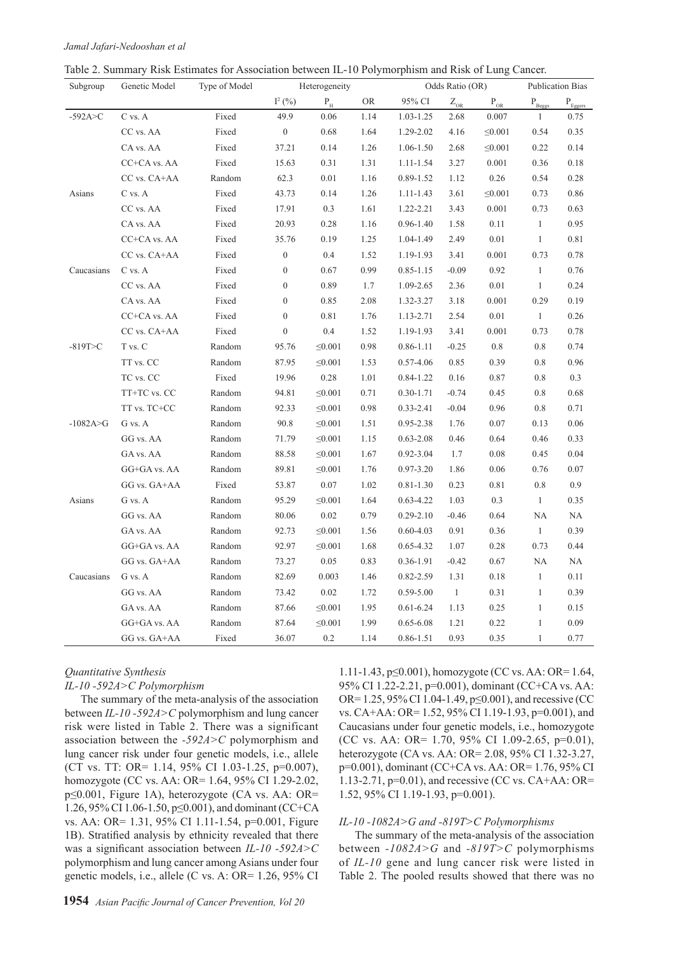| Table 2. Summary Risk Estimates for Association between IL-10 Polymorphism and Risk of Lung Cancer. |
|-----------------------------------------------------------------------------------------------------|
|-----------------------------------------------------------------------------------------------------|

| Subgroup     | Genetic Model    | Type of Model |                  | Heterogeneity           |           |               | Odds Ratio (OR)            |                          |                               | <b>Publication Bias</b>        |
|--------------|------------------|---------------|------------------|-------------------------|-----------|---------------|----------------------------|--------------------------|-------------------------------|--------------------------------|
|              |                  |               | $I^2(%)$         | $\mathbf{P}_\mathrm{H}$ | <b>OR</b> | 95% CI        | $\mathsf{Z}_{\mathrm{OR}}$ | $\mathbf{P}_{\text{OR}}$ | $\mathbf{P}_{\texttt{Beggs}}$ | $\mathbf{P}_{\texttt{Eggers}}$ |
| $-592A > C$  | C vs. A          | Fixed         | 49.9             | 0.06                    | 1.14      | 1.03-1.25     | 2.68                       | 0.007                    | 1                             | 0.75                           |
|              | CC vs. AA        | Fixed         | $\boldsymbol{0}$ | 0.68                    | 1.64      | 1.29-2.02     | 4.16                       | $\leq 0.001$             | 0.54                          | 0.35                           |
|              | CA vs. AA        | Fixed         | 37.21            | 0.14                    | 1.26      | 1.06-1.50     | 2.68                       | $\leq 0.001$             | 0.22                          | 0.14                           |
|              | CC+CA vs. AA     | Fixed         | 15.63            | 0.31                    | 1.31      | $1.11 - 1.54$ | 3.27                       | $0.001\,$                | 0.36                          | $0.18\,$                       |
|              | CC vs. CA+AA     | Random        | 62.3             | 0.01                    | 1.16      | 0.89-1.52     | 1.12                       | $0.26\,$                 | 0.54                          | $0.28\,$                       |
| Asians       | C vs. A          | Fixed         | 43.73            | 0.14                    | 1.26      | 1.11-1.43     | 3.61                       | $\leq 0.001$             | 0.73                          | 0.86                           |
|              | CC vs. AA        | Fixed         | 17.91            | 0.3                     | 1.61      | 1.22-2.21     | 3.43                       | 0.001                    | 0.73                          | 0.63                           |
|              | CA vs. AA        | Fixed         | 20.93            | 0.28                    | 1.16      | $0.96 - 1.40$ | 1.58                       | 0.11                     | $\mathbf{1}$                  | 0.95                           |
|              | CC+CA vs. AA     | Fixed         | 35.76            | 0.19                    | 1.25      | 1.04-1.49     | 2.49                       | 0.01                     | $\mathbf{1}$                  | $0.81\,$                       |
|              | CC vs. CA+AA     | Fixed         | $\boldsymbol{0}$ | 0.4                     | 1.52      | 1.19-1.93     | 3.41                       | $0.001\,$                | 0.73                          | 0.78                           |
| Caucasians   | C vs. A          | Fixed         | $\boldsymbol{0}$ | 0.67                    | 0.99      | $0.85 - 1.15$ | $-0.09$                    | 0.92                     | $\mathbf{1}$                  | 0.76                           |
|              | CC vs. AA        | Fixed         | $\boldsymbol{0}$ | 0.89                    | 1.7       | 1.09-2.65     | 2.36                       | $0.01\,$                 | $\mathbf{1}$                  | 0.24                           |
|              | CA vs. AA        | Fixed         | $\boldsymbol{0}$ | 0.85                    | 2.08      | 1.32-3.27     | 3.18                       | 0.001                    | 0.29                          | 0.19                           |
|              | CC+CA vs. AA     | Fixed         | $\boldsymbol{0}$ | 0.81                    | 1.76      | 1.13-2.71     | 2.54                       | 0.01                     | $\mathbf{1}$                  | 0.26                           |
|              | CC vs. CA+AA     | Fixed         | $\boldsymbol{0}$ | 0.4                     | 1.52      | 1.19-1.93     | 3.41                       | 0.001                    | 0.73                          | $0.78\,$                       |
| $-819T>C$    | T vs. C          | Random        | 95.76            | $\leq 0.001$            | 0.98      | $0.86 - 1.11$ | $-0.25$                    | $0.8\,$                  | 0.8                           | 0.74                           |
|              | TT vs. CC        | Random        | 87.95            | $\leq 0.001$            | 1.53      | $0.57 - 4.06$ | 0.85                       | 0.39                     | 0.8                           | 0.96                           |
|              | TC vs. CC        | Fixed         | 19.96            | 0.28                    | 1.01      | $0.84 - 1.22$ | 0.16                       | 0.87                     | 0.8                           | 0.3                            |
|              | TT+TC vs. CC     | Random        | 94.81            | $\leq 0.001$            | 0.71      | $0.30 - 1.71$ | $-0.74$                    | 0.45                     | 0.8                           | 0.68                           |
|              | $TT$ vs. $TC+CC$ | Random        | 92.33            | $\leq 0.001$            | 0.98      | $0.33 - 2.41$ | $-0.04$                    | 0.96                     | 0.8                           | 0.71                           |
| $-1082A > G$ | G vs. A          | Random        | 90.8             | $\leq 0.001$            | 1.51      | 0.95-2.38     | 1.76                       | 0.07                     | 0.13                          | 0.06                           |
|              | GG vs. AA        | Random        | 71.79            | $\leq 0.001$            | 1.15      | $0.63 - 2.08$ | 0.46                       | 0.64                     | 0.46                          | 0.33                           |
|              | GA vs. AA        | Random        | 88.58            | $\leq 0.001$            | 1.67      | $0.92 - 3.04$ | 1.7                        | 0.08                     | 0.45                          | 0.04                           |
|              | GG+GA vs. AA     | Random        | 89.81            | $\leq 0.001$            | 1.76      | $0.97 - 3.20$ | 1.86                       | 0.06                     | 0.76                          | 0.07                           |
|              | GG vs. GA+AA     | Fixed         | 53.87            | $0.07\,$                | 1.02      | $0.81 - 1.30$ | 0.23                       | $0.81\,$                 | 0.8                           | 0.9                            |
| Asians       | G vs. A          | Random        | 95.29            | $\leq 0.001$            | 1.64      | $0.63 - 4.22$ | 1.03                       | $0.3\,$                  | $\mathbf{1}$                  | 0.35                           |
|              | GG vs. AA        | Random        | 80.06            | $0.02\,$                | 0.79      | $0.29 - 2.10$ | $-0.46$                    | 0.64                     | $\rm NA$                      | NA                             |
|              | GA vs. AA        | Random        | 92.73            | $\leq 0.001$            | 1.56      | $0.60 - 4.03$ | 0.91                       | 0.36                     | $\mathbf{1}$                  | 0.39                           |
|              | GG+GA vs. AA     | Random        | 92.97            | $\leq 0.001$            | 1.68      | $0.65 - 4.32$ | 1.07                       | 0.28                     | 0.73                          | 0.44                           |
|              | GG vs. GA+AA     | Random        | 73.27            | 0.05                    | 0.83      | $0.36 - 1.91$ | $-0.42$                    | 0.67                     | NA                            | NA                             |
| Caucasians   | G vs. A          | Random        | 82.69            | 0.003                   | 1.46      | 0.82-2.59     | 1.31                       | $0.18\,$                 | $\mathbf{1}$                  | 0.11                           |
|              | GG vs. AA        | Random        | 73.42            | $0.02\,$                | 1.72      | $0.59 - 5.00$ | $\,1\,$                    | 0.31                     | $\mathbf{1}$                  | 0.39                           |
|              | GA vs. AA        | Random        | 87.66            | $\leq 0.001$            | 1.95      | $0.61 - 6.24$ | 1.13                       | 0.25                     | $\mathbf{1}$                  | 0.15                           |
|              | GG+GA vs. AA     | Random        | 87.64            | $\leq 0.001$            | 1.99      | $0.65 - 6.08$ | 1.21                       | 0.22                     | $\mathbf{1}$                  | 0.09                           |
|              | GG vs. GA+AA     | Fixed         | 36.07            | 0.2                     | 1.14      | $0.86 - 1.51$ | 0.93                       | 0.35                     | $\mathbf{1}$                  | 0.77                           |

#### *Quantitative Synthesis IL-10 -592A>C Polymorphism*

The summary of the meta-analysis of the association between *IL-10 -592A>C* polymorphism and lung cancer risk were listed in Table 2. There was a significant association between the *-592A>C* polymorphism and lung cancer risk under four genetic models, i.e., allele (CT vs. TT: OR= 1.14, 95% CI 1.03-1.25, p=0.007), homozygote (CC vs. AA: OR= 1.64, 95% CI 1.29-2.02, p≤0.001, Figure 1A), heterozygote (CA vs. AA: OR= 1.26, 95% CI 1.06-1.50, p≤0.001), and dominant (CC+CA vs. AA: OR= 1.31, 95% CI 1.11-1.54, p=0.001, Figure 1B). Stratified analysis by ethnicity revealed that there was a significant association between *IL-10 -592A>C* polymorphism and lung cancer among Asians under four genetic models, i.e., allele (C vs. A: OR= 1.26, 95% CI 1.11-1.43, p≤0.001), homozygote (CC vs. AA: OR= 1.64, 95% CI 1.22-2.21, p=0.001), dominant (CC+CA vs. AA: OR= 1.25, 95% CI 1.04-1.49, p≤0.001), and recessive (CC vs. CA+AA: OR= 1.52, 95% CI 1.19-1.93, p=0.001), and Caucasians under four genetic models, i.e., homozygote (CC vs. AA: OR= 1.70, 95% CI 1.09-2.65, p=0.01), heterozygote (CA vs. AA: OR= 2.08, 95% CI 1.32-3.27, p=0.001), dominant (CC+CA vs. AA: OR= 1.76, 95% CI 1.13-2.71, p=0.01), and recessive (CC vs. CA+AA: OR= 1.52, 95% CI 1.19-1.93, p=0.001).

#### *IL-10 -1082A>G and -819T>C Polymorphisms*

The summary of the meta-analysis of the association between *-1082A>G* and *-819T>C* polymorphisms of *IL-10* gene and lung cancer risk were listed in Table 2. The pooled results showed that there was no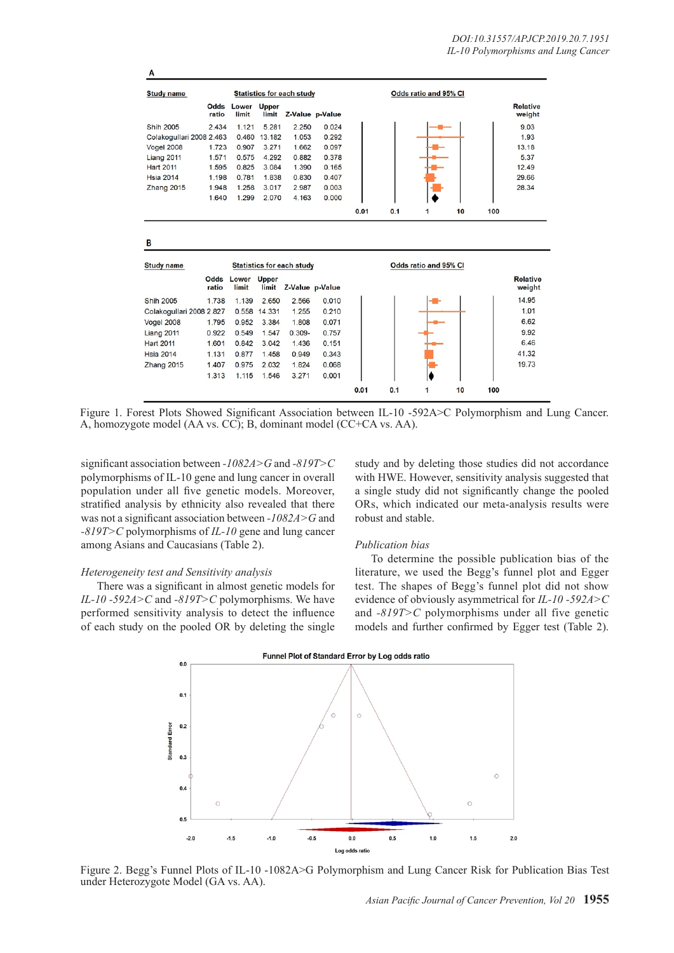| <b>Study name</b>        |                |                |                | <b>Statistics for each study</b> |       |      |     | Odds ratio and 95% CI |    |     |                           |
|--------------------------|----------------|----------------|----------------|----------------------------------|-------|------|-----|-----------------------|----|-----|---------------------------|
|                          | Odds<br>ratio  | Lower<br>limit | Upper          | limit Z-Value p-Value            |       |      |     |                       |    |     | <b>Relative</b><br>weight |
| Shih 2005                | 2.434          | 1.121          | 5.281          | 2.250                            | 0.024 |      |     |                       |    |     | 9.03                      |
| Colakogullari 2008 2.463 |                | 0.460          | 13.182         | 1.053                            | 0.292 |      |     |                       |    |     | 1.93                      |
| <b>Vogel 2008</b>        | 1.723          | 0.907          | 3.271          | 1.662                            | 0.097 |      |     |                       |    |     | 13.18                     |
| Liang 2011               | 1.571          | 0.575          | 4.292          | 0.882                            | 0.378 |      |     |                       |    |     | 5.37                      |
| <b>Hart 2011</b>         | 1.595          | 0.825          | 3.084          | 1.390                            | 0.165 |      |     |                       |    |     | 12.49                     |
| <b>Hsia 2014</b>         | 1.198          | 0.781          | 1.838          | 0.830                            | 0.407 |      |     |                       |    |     | 29.66                     |
| Zhang 2015               | 1,948          | 1.258          | 3.017          | 2.987                            | 0.003 |      |     |                       |    |     | 28.34                     |
|                          | 1.640          | 1.299          | 2.070          | 4.163                            | 0.000 |      |     |                       |    |     |                           |
|                          |                |                |                |                                  |       | 0.01 | 0.1 | 1                     | 10 | 100 |                           |
|                          |                |                |                |                                  |       |      |     |                       |    |     |                           |
| в<br><b>Study name</b>   |                |                |                | <b>Statistics for each study</b> |       |      |     | Odds ratio and 95% CI |    |     |                           |
|                          | Odds<br>ratio  | Lower<br>limit | Upper<br>limit | Z-Value p-Value                  |       |      |     |                       |    |     | <b>Relative</b><br>weight |
| <b>Shih 2005</b>         | 1.738          | 1.139          | 2.650          | 2.566                            | 0.010 |      |     |                       |    |     | 14.95                     |
| Colakogullari 2008 2.827 |                | 0.558          | 14.331         | 1.255                            | 0.210 |      |     |                       |    |     | 1.01                      |
| Vogel 2008               | 1.795          | 0.952          | 3.384          | 1.808                            | 0.071 |      |     |                       |    |     | 6.62                      |
| Liang 2011               | 0.922          | 0.549          | 1.547          | $0.309 -$                        | 0.757 |      |     |                       |    |     | 9.92                      |
| <b>Hart 2011</b>         | 1.601          | 0.842          | 3.042          | 1.436                            | 0.151 |      |     |                       |    |     | 6.46                      |
| <b>Hsia 2014</b>         | 1.131          | 0.877          | 1.458          | 0.949                            | 0.343 |      |     |                       |    |     | 41.32                     |
|                          |                | 0.975          | 2.032          | 1.824                            | 0.068 |      |     |                       |    |     | 19.73                     |
| Zhang 2015               | 1.407<br>1.313 | 1.115          | 1.546          | 3.271                            | 0.001 |      |     |                       |    |     |                           |

Figure 1. Forest Plots Showed Significant Association between IL-10 -592A>C Polymorphism and Lung Cancer. A, homozygote model (AA vs. CC); B, dominant model (CC+CA vs. AA).

significant association between *-1082A>G* and *-819T>C* polymorphisms of IL-10 gene and lung cancer in overall population under all five genetic models. Moreover, stratified analysis by ethnicity also revealed that there was not a significant association between *-1082A>G* and *-819T>C* polymorphisms of *IL-10* gene and lung cancer among Asians and Caucasians (Table 2).

#### *Heterogeneity test and Sensitivity analysis*

There was a significant in almost genetic models for *IL-10 -592A>C* and *-819T>C* polymorphisms. We have performed sensitivity analysis to detect the influence of each study on the pooled OR by deleting the single

study and by deleting those studies did not accordance with HWE. However, sensitivity analysis suggested that a single study did not significantly change the pooled ORs, which indicated our meta-analysis results were robust and stable.

#### *Publication bias*

To determine the possible publication bias of the literature, we used the Begg's funnel plot and Egger test. The shapes of Begg's funnel plot did not show evidence of obviously asymmetrical for *IL-10 -592A>C* and *-819T>C* polymorphisms under all five genetic models and further confirmed by Egger test (Table 2).



Figure 2. Begg's Funnel Plots of IL-10 -1082A>G Polymorphism and Lung Cancer Risk for Publication Bias Test under Heterozygote Model (GA vs. AA).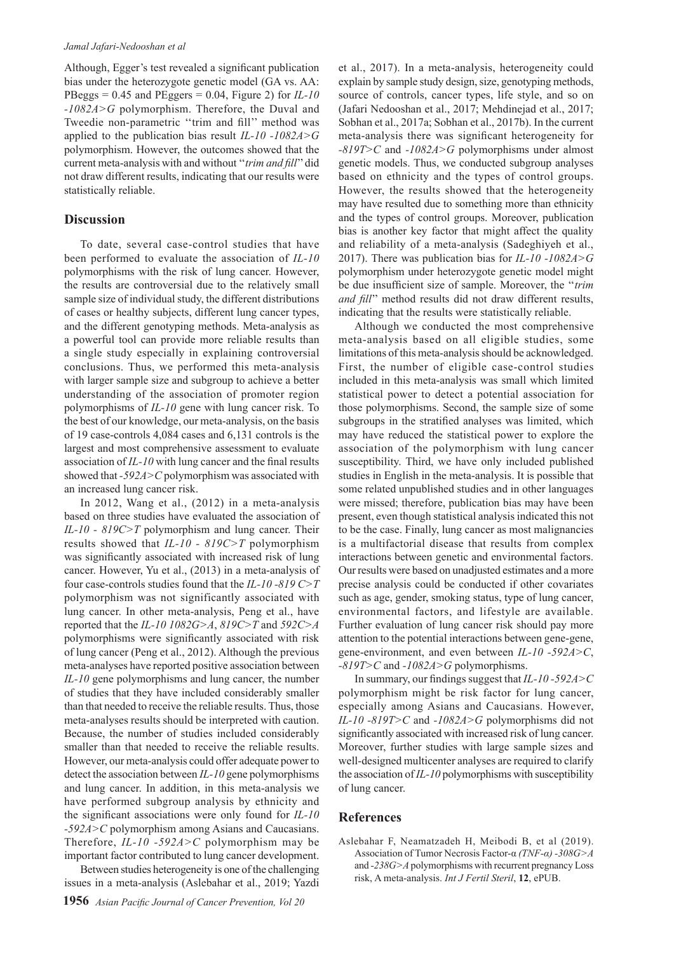Although, Egger's test revealed a significant publication bias under the heterozygote genetic model (GA vs. AA: PBeggs = 0.45 and PEggers = 0.04, Figure 2) for *IL-10 -1082A>G* polymorphism. Therefore, the Duval and Tweedie non-parametric ''trim and fill'' method was applied to the publication bias result *IL-10 -1082A>G*  polymorphism. However, the outcomes showed that the current meta-analysis with and without ''*trim and fill*'' did not draw different results, indicating that our results were statistically reliable.

#### **Discussion**

To date, several case-control studies that have been performed to evaluate the association of *IL-10*  polymorphisms with the risk of lung cancer. However, the results are controversial due to the relatively small sample size of individual study, the different distributions of cases or healthy subjects, different lung cancer types, and the different genotyping methods. Meta-analysis as a powerful tool can provide more reliable results than a single study especially in explaining controversial conclusions. Thus, we performed this meta-analysis with larger sample size and subgroup to achieve a better understanding of the association of promoter region polymorphisms of *IL-10* gene with lung cancer risk. To the best of our knowledge, our meta-analysis, on the basis of 19 case-controls 4,084 cases and 6,131 controls is the largest and most comprehensive assessment to evaluate association of *IL-10* with lung cancer and the final results showed that *-592A>C* polymorphism was associated with an increased lung cancer risk.

In 2012, Wang et al., (2012) in a meta-analysis based on three studies have evaluated the association of *IL-10 - 819C>T* polymorphism and lung cancer. Their results showed that *IL-10 - 819C>T* polymorphism was significantly associated with increased risk of lung cancer. However, Yu et al., (2013) in a meta-analysis of four case-controls studies found that the *IL-10 -819 C>T* polymorphism was not significantly associated with lung cancer. In other meta-analysis, Peng et al., have reported that the *IL-10 1082G>A*, *819C>T* and *592C>A* polymorphisms were significantly associated with risk of lung cancer (Peng et al., 2012). Although the previous meta-analyses have reported positive association between *IL-10* gene polymorphisms and lung cancer, the number of studies that they have included considerably smaller than that needed to receive the reliable results. Thus, those meta-analyses results should be interpreted with caution. Because, the number of studies included considerably smaller than that needed to receive the reliable results. However, our meta-analysis could offer adequate power to detect the association between *IL-10* gene polymorphisms and lung cancer. In addition, in this meta-analysis we have performed subgroup analysis by ethnicity and the significant associations were only found for *IL-10 -592A>C* polymorphism among Asians and Caucasians. Therefore, *IL-10 -592A>C* polymorphism may be important factor contributed to lung cancer development.

Between studies heterogeneity is one of the challenging issues in a meta-analysis (Aslebahar et al., 2019; Yazdi et al., 2017). In a meta-analysis, heterogeneity could explain by sample study design, size, genotyping methods, source of controls, cancer types, life style, and so on (Jafari Nedooshan et al., 2017; Mehdinejad et al., 2017; Sobhan et al., 2017a; Sobhan et al., 2017b). In the current meta-analysis there was significant heterogeneity for *-819T>C* and *-1082A>G* polymorphisms under almost genetic models. Thus, we conducted subgroup analyses based on ethnicity and the types of control groups. However, the results showed that the heterogeneity may have resulted due to something more than ethnicity and the types of control groups. Moreover, publication bias is another key factor that might affect the quality and reliability of a meta-analysis (Sadeghiyeh et al., 2017). There was publication bias for *IL-10 -1082A>G*  polymorphism under heterozygote genetic model might be due insufficient size of sample. Moreover, the ''*trim and fill*'' method results did not draw different results, indicating that the results were statistically reliable.

Although we conducted the most comprehensive meta-analysis based on all eligible studies, some limitations of this meta-analysis should be acknowledged. First, the number of eligible case-control studies included in this meta-analysis was small which limited statistical power to detect a potential association for those polymorphisms. Second, the sample size of some subgroups in the stratified analyses was limited, which may have reduced the statistical power to explore the association of the polymorphism with lung cancer susceptibility. Third, we have only included published studies in English in the meta-analysis. It is possible that some related unpublished studies and in other languages were missed; therefore, publication bias may have been present, even though statistical analysis indicated this not to be the case. Finally, lung cancer as most malignancies is a multifactorial disease that results from complex interactions between genetic and environmental factors. Our results were based on unadjusted estimates and a more precise analysis could be conducted if other covariates such as age, gender, smoking status, type of lung cancer, environmental factors, and lifestyle are available. Further evaluation of lung cancer risk should pay more attention to the potential interactions between gene-gene, gene-environment, and even between *IL-10 -592A>C*, *-819T>C* and *-1082A>G* polymorphisms.

In summary, our findings suggest that *IL-10 -592A>C*  polymorphism might be risk factor for lung cancer, especially among Asians and Caucasians. However, *IL-10 -819T>C* and *-1082A>G* polymorphisms did not significantly associated with increased risk of lung cancer. Moreover, further studies with large sample sizes and well-designed multicenter analyses are required to clarify the association of *IL-10* polymorphisms with susceptibility of lung cancer.

#### **References**

Aslebahar F, Neamatzadeh H, Meibodi B, et al (2019). Association of Tumor Necrosis Factor-α *(TNF-α) -308G>A*  and *-238G>A* polymorphisms with recurrent pregnancy Loss risk, A meta-analysis. *Int J Fertil Steril*, **12**, ePUB.